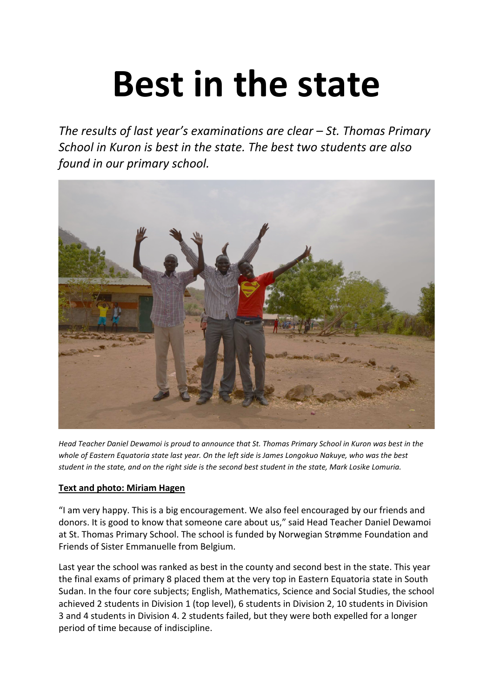# **Best in the state**

*The results of last year's examinations are clear – St. Thomas Primary School in Kuron is best in the state. The best two students are also found in our primary school.*



*Head Teacher Daniel Dewamoi is proud to announce that St. Thomas Primary School in Kuron was best in the whole of Eastern Equatoria state last year. On the left side is James Longokuo Nakuye, who was the best student in the state, and on the right side is the second best student in the state, Mark Losike Lomuria.* 

## **Text and photo: Miriam Hagen**

"I am very happy. This is a big encouragement. We also feel encouraged by our friends and donors. It is good to know that someone care about us," said Head Teacher Daniel Dewamoi at St. Thomas Primary School. The school is funded by Norwegian Strømme Foundation and Friends of Sister Emmanuelle from Belgium.

Last year the school was ranked as best in the county and second best in the state. This year the final exams of primary 8 placed them at the very top in Eastern Equatoria state in South Sudan. In the four core subjects; English, Mathematics, Science and Social Studies, the school achieved 2 students in Division 1 (top level), 6 students in Division 2, 10 students in Division 3 and 4 students in Division 4. 2 students failed, but they were both expelled for a longer period of time because of indiscipline.